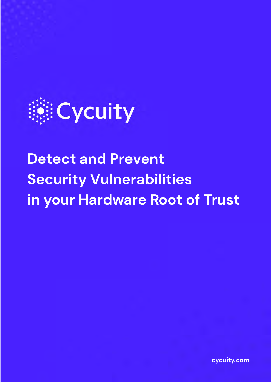

# **Detect and Prevent Security Vulnerabilities in your Hardware Root of Trust**

**cycuity.com**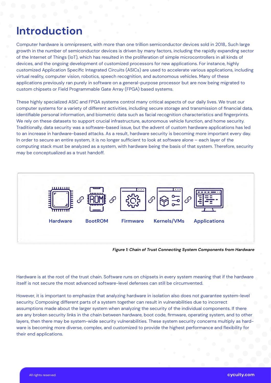### **Introduction**

Computer hardware is omnipresent, with more than one trillion semiconductor devices sold in 2018*<sup>1</sup>* . Such large growth in the number of semiconductor devices is driven by many factors, including the rapidly expanding sector of the Internet of Things (IoT), which has resulted in the proliferation of simple microcontrollers in all kinds of devices, and the ongoing development of customized processors for new applications. For instance, highly customized Application Specific Integrated Circuits (ASICs) are used to accelerate various applications, including virtual reality, computer vision, robotics, speech recognition, and autonomous vehicles. Many of these applications previously ran purely in software on a general-purpose processor but are now being migrated to custom chipsets or Field Programmable Gate Array (FPGA) based systems.

These highly specialized ASIC and FPGA systems control many critical aspects of our daily lives. We trust our computer systems for a variety of different activities, including secure storage and transmission of financial data, identifiable personal information, and biometric data such as facial recognition characteristics and fingerprints. We rely on these datasets to support crucial infrastructure, autonomous vehicle function, and home security. Traditionally, data security was a software-based issue, but the advent of custom hardware applications has led to an increase in hardware-based attacks. As a result, hardware security is becoming more important every day. In order to secure an entire system, it is no longer sufficient to look at software alone – each layer of the computing stack must be analyzed as a system, with hardware being the basis of that system. Therefore, security may be conceptualized as a trust handoff.



*Figure 1: Chain of Trust Connecting System Components from Hardware*

Hardware is at the root of the trust chain. Software runs on chipsets in every system meaning that if the hardware itself is not secure the most advanced software-level defenses can still be circumvented.

However, it is important to emphasize that analyzing hardware in isolation also does not guarantee system-level security. Composing different parts of a system together can result in vulnerabilities due to incorrect assumptions made about the larger system when analyzing the security of the individual components. If there are any broken security links in the chain between hardware, boot code, firmware, operating system, and to other layers, then there may be system-wide security vulnerabilities. These system security concerns multiply as hardware is becoming more diverse, complex, and customized to provide the highest performance and flexibility for their end applications.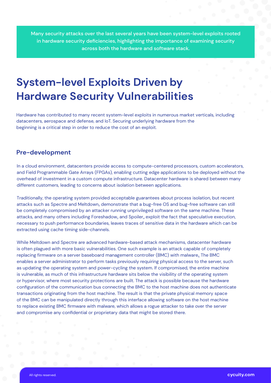Many security attacks over the last several years have been system-level exploits rooted in hardware security deficiencies, highlighting the importance of examining security across both the hardware and software stack.

### **System-level Exploits Driven by Hardware Security Vulnerabilities**

Hardware has contributed to many recent system-level exploits in numerous market verticals, including datacenters, aerospace and defense, and IoT. Securing underlying hardware from the beginning is a critical step in order to reduce the cost of an exploit.

#### **Pre-development**

In a cloud environment, datacenters provide access to compute-centered processors, custom accelerators, and Field Programmable Gate Arrays (FPGAs), enabling cutting edge applications to be deployed without the overhead of investment in a custom compute infrastructure. Datacenter hardware is shared between many different customers, leading to concerns about isolation between applications.

Traditionally, the operating system provided acceptable guarantees about process isolation, but recent attacks such as Spectre and Meltdown<u>,</u> demonstrate that a bug-free OS and bug-free software can still be completely compromised by an attacker running unprivileged software on the same machine. These attacks, and many others including Foreshadow<sub>3</sub> and Spoiler<sub>4</sub> exploit the fact that speculative execution, necessary to push performance boundaries, leaves traces of sensitive data in the hardware which can be extracted using cache timing side-channels.

While Meltdown and Spectre are advanced hardware-based attack mechanisms, datacenter hardware is often plagued with more basic vulnerabilities. One such example is an attack capable of completely replacing firmware on a server baseboard management controller (BMC) with malware<sub>5</sub>. The BMC enables a server administrator to perform tasks previously requiring physical access to the server, such as updating the operating system and power-cycling the system. If compromised, the entire machine is vulnerable, as much of this infrastructure hardware sits below the visibility of the operating system or hypervisor, where most security protections are built. The attack is possible because the hardware configuration of the communication bus connecting the BMC to the host machine does not authenticate transactions originating from the host machine. The result is that the private physical memory space of the BMC can be manipulated directly through this interface allowing software on the host machine to replace existing BMC firmware with malware, which allows a rogue attacker to take over the server and compromise any confidential or proprietary data that might be stored there.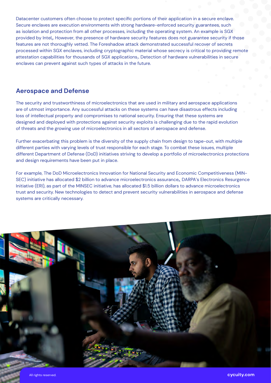Datacenter customers often choose to protect specific portions of their application in a secure enclave. Secure enclaves are execution environments with strong hardware-enforced security guarantees, such as isolation and protection from all other processes, including the operating system. An example is SGX provided by Intel*<sup>6</sup>* . However, the presence of hardware security features does not guarantee security if those features are not thoroughly vetted. The Foreshadow attack demonstrated successful recover of secrets processed within SGX enclaves, including cryptographic material whose secrecy is critical to providing remote attestation capabilities for thousands of SGX applications*<sup>7</sup>* . Detection of hardware vulnerabilities in secure enclaves can prevent against such types of attacks in the future.

#### **Aerospace and Defense**

The security and trustworthiness of microelectronics that are used in military and aerospace applications are of utmost importance. Any successful attacks on these systems can have disastrous effects including loss of intellectual property and compromises to national security. Ensuring that these systems are designed and deployed with protections against security exploits is challenging due to the rapid evolution of threats and the growing use of microelectronics in all sectors of aerospace and defense.

Further exacerbating this problem is the diversity of the supply chain from design to tape-out, with multiple different parties with varying levels of trust responsible for each stage. To combat these issues, multiple different Department of Defense (DoD) initiatives striving to develop a portfolio of microelectronics protections and design requirements have been put in place.

For example, The DoD Microelectronics Innovation for National Security and Economic Competitiveness (MIN-SEC) initiative has allocated \$2 billion to advance microelectronics assurance*8*. DARPA's Electronics Resurgence Initiative (ERI), as part of the MINSEC initiative, has allocated \$1.5 billion dollars to advance microelectronics trust and security. New technologies to detect and prevent security vulnerabilities in aerospace and defense systems are critically necessary.

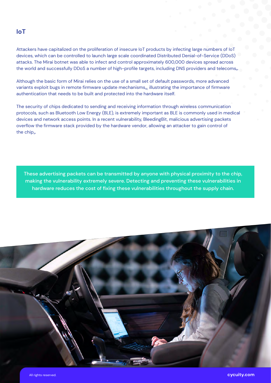#### **IoT**

Attackers have capitalized on the proliferation of insecure IoT products by infecting large numbers of IoT devices, which can be controlled to launch large scale coordinated Distributed Denial-of-Service (DDoS) attacks. The Mirai botnet was able to infect and control approximately 600,000 devices spread across the world and successfully DDoS a number of high-profile targets, including DNS providers and telecoms*<sup>9</sup>* .

Although the basic form of Mirai relies on the use of a small set of default passwords, more advanced variants exploit bugs in remote firmware update mechanisms*10*, illustrating the importance of firmware authentication that needs to be built and protected into the hardware itself.

The security of chips dedicated to sending and receiving information through wireless communication protocols, such as Bluetooth Low Energy (BLE), is extremely important as BLE is commonly used in medical devices and network access points. In a recent vulnerability, BleedingBit, malicious advertising packets overflow the firmware stack provided by the hardware vendor, allowing an attacker to gain control of the chip<sub>n</sub>.

These advertising packets can be transmitted by anyone with physical proximity to the chip, making the vulnerability extremely severe. Detecting and preventing these vulnerabilities in hardware reduces the cost of fixing these vulnerabilities throughout the supply chain.

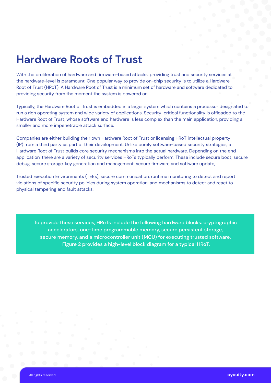### **Hardware Roots of Trust**

With the proliferation of hardware and firmware-based attacks, providing trust and security services at the hardware-level is paramount. One popular way to provide on-chip security is to utilize a Hardware Root of Trust (HRoT). A Hardware Root of Trust is a minimum set of hardware and software dedicated to providing security from the moment the system is powered on.

Typically, the Hardware Root of Trust is embedded in a larger system which contains a processor designated to run a rich operating system and wide variety of applications. Security-critical functionality is offloaded to the Hardware Root of Trust, whose software and hardware is less complex than the main application, providing a smaller and more impenetrable attack surface.

Companies are either building their own Hardware Root of Trust or licensing HRoT intellectual property (IP) from a third party as part of their development. Unlike purely software-based security strategies, a Hardware Root of Trust builds core security mechanisms into the actual hardware. Depending on the end application, there are a variety of security services HRoTs typically perform. These include secure boot, secure debug, secure storage, key generation and management, secure firmware and software update,

Trusted Execution Environments (TEEs), secure communication, runtime monitoring to detect and report violations of specific security policies during system operation, and mechanisms to detect and react to physical tampering and fault attacks.

To provide these services, HRoTs include the following hardware blocks: cryptographic accelerators, one-time programmable memory, secure persistent storage, secure memory, and a microcontroller unit (MCU) for executing trusted software. Figure 2 provides a high-level block diagram for a typical HRoT.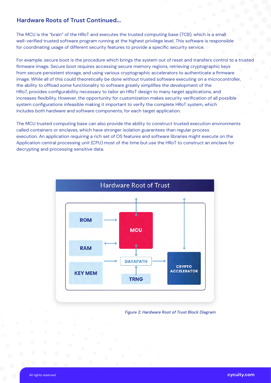#### **Hardware Roots of Trust Continued...**

The MCU is the "brain" of the HRoT and executes the trusted computing base (TCB), which is a small well-verified trusted software program running at the highest privilege level. This software is responsible for coordinating usage of different security features to provide a specific security service.

For example, secure boot is the procedure which brings the system out of reset and transfers control to a trusted firmware image. Secure boot requires accessing secure memory regions, retrieving cryptographic keys from secure persistent storage, and using various cryptographic accelerators to authenticate a firmware image. While all of this could theoretically be done without trusted software executing on a microcontroller, the ability to offload some functionality to software greatly simplifies the development of the HRoT, provides configurability necessary to tailor an HRoT design to many target applications, and increases flexibility. However, the opportunity for customization makes security verification of all possible system configurations infeasible making it important to verify the complete HRoT system, which includes both hardware and software components, for each target application.

The MCU trusted computing base can also provide the ability to construct trusted execution environments called containers or enclaves, which have stronger isolation guarantees than regular process execution. An application requiring a rich set of OS features and software libraries might execute on the Application central processing unit (CPU) most of the time but use the HRoT to construct an enclave for decrypting and processing sensitive data.



*Figure 2: Hardware Root of Trust Block Diagram*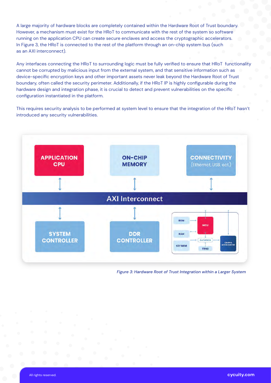A large majority of hardware blocks are completely contained within the Hardware Root of Trust boundary. However, a mechanism must exist for the HRoT to communicate with the rest of the system so software running on the application CPU can create secure enclaves and access the cryptographic accelerators. In Figure 3, the HRoT is connected to the rest of the platform through an on-chip system bus (such as an AXI interconnect).

Any interfaces connecting the HRoT to surrounding logic must be fully verified to ensure that HRoT functionality cannot be corrupted by malicious input from the external system, and that sensitive information such as device-specific encryption keys and other important assets never leak beyond the Hardware Root of Trust boundary, often called the security perimeter. Additionally, if the HRoT IP is highly configurable during the hardware design and integration phase, it is crucial to detect and prevent vulnerabilities on the specific configuration instantiated in the platform.

This requires security analysis to be performed at system level to ensure that the integration of the HRoT hasn't introduced any security vulnerabilities.



*Figure 3: Hardware Root of Trust Integration within a Larger System*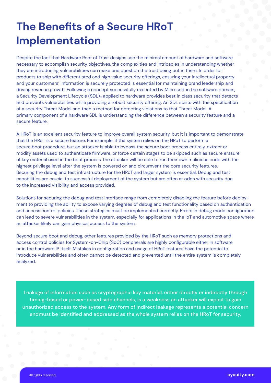# **The Benefits of a Secure HRoT Implementation**

Despite the fact that Hardware Root of Trust designs use the minimal amount of hardware and software necessary to accomplish security objectives, the complexities and intricacies in understanding whether they are introducing vulnerabilities can make one question the trust being put in them. In order for products to ship with differentiated and high value security offerings, ensuring your intellectual property and your customers' information is securely protected is essential for maintaining brand leadership and driving revenue growth. Following a concept successfully executed by Microsoft in the software domain, a Security Development Lifecycle (SDL)<sub>12</sub> applied to hardware provides best in class security that detects and prevents vulnerabilities while providing a robust security offering. An SDL starts with the specification of a security Threat Model and then a method for detecting violations to that Threat Model. A primary component of a hardware SDL is understanding the difference between a security feature and a secure feature.

A HRoT is an excellent security feature to improve overall system security, but it is important to demonstrate that the HRoT is a secure feature. For example, if the system relies on the HRoT to perform a secure boot procedure, but an attacker is able to bypass the secure boot process entirely, extract or modify assets used to authenticate firmware, or force certain stages to be skipped such as secure erasure of key material used in the boot process, the attacker will be able to run their own malicious code with the highest privilege level after the system is powered on and circumvent the core security features. Securing the debug and test infrastructure for the HRoT and larger system is essential. Debug and test capabilities are crucial to successful deployment of the system but are often at odds with security due to the increased visibility and access provided.

Solutions for securing the debug and test interface range from completely disabling the feature before deployment to providing the ability to expose varying degrees of debug and test functionality based on authentication and access control policies. These strategies must be implemented correctly. Errors in debug mode configuration can lead to severe vulnerabilities in the system, especially for applications in the IoT and automotive space where an attacker likely can gain physical access to the system.

Beyond secure boot and debug, other features provided by the HRoT such as memory protections and access control policies for System-on-Chip (SoC) peripherals are highly configurable either in software or in the hardware IP itself. Mistakes in configuration and usage of HRoT features have the potential to introduce vulnerabilities and often cannot be detected and prevented until the entire system is completely analyzed.

Leakage of information such as cryptographic key material, either directly or indirectly through timing-based or power-based side channels, is a weakness an attacker will exploit to gain unauthorized access to the system. Any form of indirect leakage represents a potential concern andmust be identified and addressed as the whole system relies on the HRoT for security.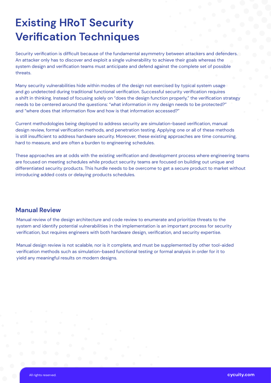# **Existing HRoT Security Verification Techniques**

Security verification is difficult because of the fundamental asymmetry between attackers and defenders. An attacker only has to discover and exploit a single vulnerability to achieve their goals whereas the system design and verification teams must anticipate and defend against the complete set of possible threats.

Many security vulnerabilities hide within modes of the design not exercised by typical system usage and go undetected during traditional functional verification. Successful security verification requires a shift in thinking. Instead of focusing solely on "does the design function properly," the verification strategy needs to be centered around the questions: "what information in my design needs to be protected?" and "where does that information flow and how is that information accessed?"

Current methodologies being deployed to address security are simulation-based verification, manual design review, formal verification methods, and penetration testing. Applying one or all of these methods is still insufficient to address hardware security. Moreover, these existing approaches are time consuming, hard to measure, and are often a burden to engineering schedules.

These approaches are at odds with the existing verification and development process where engineering teams are focused on meeting schedules while product security teams are focused on building out unique and differentiated security products. This hurdle needs to be overcome to get a secure product to market without introducing added costs or delaying products schedules.

#### **Manual Review**

Manual review of the design architecture and code review to enumerate and prioritize threats to the system and identify potential vulnerabilities in the implementation is an important process for security verification, but requires engineers with both hardware design, verification, and security expertise.

Manual design review is not scalable, nor is it complete, and must be supplemented by other tool-aided verification methods such as simulation-based functional testing or formal analysis in order for it to yield any meaningful results on modern designs.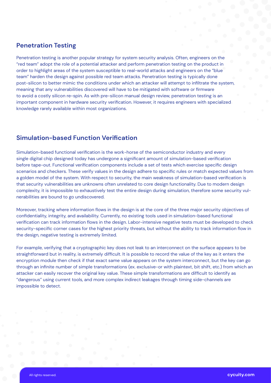#### **Penetration Testing**

Penetration testing is another popular strategy for system security analysis. Often, engineers on the "red team" adopt the role of a potential attacker and perform penetration testing on the product in order to highlight areas of the system susceptible to real-world attacks and engineers on the "blue team" harden the design against possible red team attacks. Penetration testing is typically done post-silicon to better mimic the conditions under which an attacker will attempt to infiltrate the system, meaning that any vulnerabilities discovered will have to be mitigated with software or firmware to avoid a costly silicon re-spin. As with pre-silicon manual design review, penetration testing is an important component in hardware security verification. However, it requires engineers with specialized knowledge rarely available within most organizations.

#### **Simulation-based Function Verification**

Simulation-based functional verification is the work-horse of the semiconductor industry and every single digital chip designed today has undergone a significant amount of simulation-based verification before tape-out. Functional verification components include a set of tests which exercise specific design scenarios and checkers. These verify values in the design adhere to specific rules or match expected values from a golden model of the system. With respect to security, the main weakness of simulation-based verification is that security vulnerabilities are unknowns often unrelated to core design functionality. Due to modern design complexity, it is impossible to exhaustively test the entire design during simulation, therefore some security vulnerabilities are bound to go undiscovered.

Moreover, tracking where information flows in the design is at the core of the three major security objectives of confidentiality, integrity, and availability. Currently, no existing tools used in simulation-based functional verification can track information flows in the design. Labor-intensive negative tests must be developed to check security-specific corner cases for the highest priority threats, but without the ability to track information flow in the design, negative testing is extremely limited.

For example, verifying that a cryptographic key does not leak to an interconnect on the surface appears to be straightforward but in reality, is extremely difficult. It is possible to record the value of the key as it enters the encryption module then check if that exact same value appears on the system interconnect, but the key can go through an infinite number of simple transformations (ex. exclusive-or with plaintext, bit shift, etc.) from which an attacker can easily recover the original key value. These simple transformations are difficult to identify as "dangerous" using current tools, and more complex indirect leakages through timing side-channels are impossible to detect.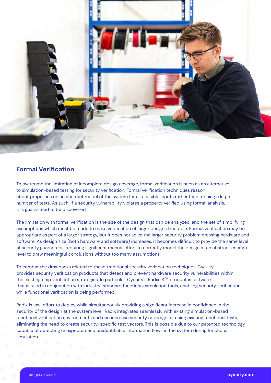

#### **Formal Verification**

To overcome the limitation of incomplete design coverage, formal verification is seen as an alternative to simulation-based testing for security verification. Formal verification techniques reason about properties on an abstract model of the system for all possible inputs rather than running a large number of tests. As such, if a security vulnerability violates a property verified using formal analysis, it is guaranteed to be discovered.

The limitation with formal verification is the size of the design that can be analyzed, and the set of simplifying assumptions which must be made to make verification of larger designs tractable. Formal verification may be appropriate as part of a larger strategy, but it does not solve the larger security problem crossing hardware and software. As design size (both hardware and software) increases, it becomes difficult to provide the same level of security guarantees, requiring significant manual effort to correctly model the design at an abstract enough level to draw meaningful conclusions without too many assumptions.

To combat the drawbacks related to these traditional security verification techniques, Cycuity provides security verification products that detect and prevent hardware security vulnerabilities within the existing chip verification strategies. In particular, Cycuity's Radix-S™ product is software that is used in conjunction with industry-standard functional simulation tools, enabling security verification while functional verification is being performed.

Radix is low-effort to deploy while simultaneously providing a significant increase in confidence in the security of the design at the system level. Radix integrates seamlessly with existing simulation-based functional verification environments and can increase security coverage re-using existing functional tests, eliminating the need to create security-specific test vectors. This is possible due to our patented technology capable of detecting unexpected and unidentifiable information flows in the system during functional simulation.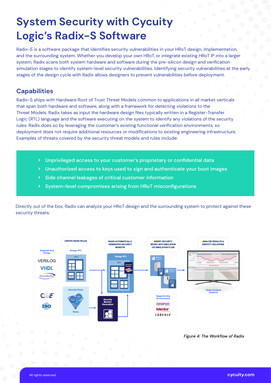## **System Security with Cycuity Logic's Radix-S Software**

Radix-S is a software package that identifies security vulnerabilities in your HRoT design, implementation, and the surrounding system. Whether you develop your own HRoT, or integrate existing HRoT IP into a larger system, Radix scans both system hardware and software during the pre-silicon design and verification simulation stages to identify system-level security vulnerabilities. Identifying security vulnerabilities at the early stages of the design cycle with Radix allows designers to prevent vulnerabilities before deployment.

#### **Capabilities**

Radix-S ships with Hardware Root of Trust Threat Models common to applications in all market verticals that span both hardware and software, along with a framework for detecting violations to the Threat Models. Radix takes as input the hardware design files typically written in a Register-Transfer Logic (RTL) language and the software executing on the system to identify any violations of the security rules. Radix does so by leveraging the customer's existing functional verification environments, so deployment does not require additional resources or modifications to existing engineering infrastructure. Examples of threats covered by the security threat models and rules include:

- Unprivileged access to your customer's proprietary or confidential data
- Unauthorized access to keys used to sign and authenticate your boot images
- Side channel leakages of critical customer information
- System-level compromises arising from HRoT misconfigurations

Directly out of the box, Radix can analyze your HRoT design and the surrounding system to protect against these security threats.



*Figure 4: The Workflow of Radix*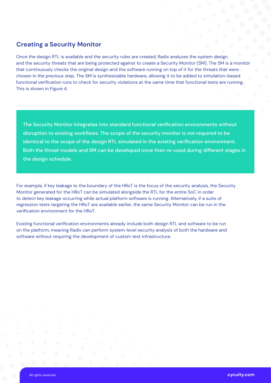#### **Creating a Security Monitor**

Once the design RTL is available and the security rules are created, Radix analyzes the system design and the security threats that are being protected against to create a Security Monitor (SM). The SM is a monitor that continuously checks the original design and the software running on top of it for the threats that were chosen in the previous step. The SM is synthesizable hardware, allowing it to be added to simulation-based functional verification runs to check for security violations at the same time that functional tests are running. This is shown in Figure 4.

The Security Monitor integrates into standard functional verification environments without disruption to existing workflows. The scope of the security monitor is not required to be identical to the scope of the design RTL simulated in the existing verification environment. Both the threat models and SM can be developed once then re-used during different stages in the design schedule.

For example, if key leakage to the boundary of the HRoT is the focus of the security analysis, the Security Monitor generated for the HRoT can be simulated alongside the RTL for the entire SoC in order to detect key leakage occurring while actual platform software is running. Alternatively, if a suite of regression tests targeting the HRoT are available earlier, the same Security Monitor can be run in the verification environment for the HRoT.

Existing functional verification environments already include both design RTL and software to be run on the platform, meaning Radix can perform system-level security analysis of both the hardware and software without requiring the development of custom test infrastructure.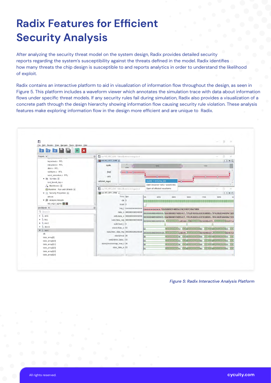# **Radix Features for Efficient Security Analysis**

After analyzing the security threat model on the system design, Radix provides detailed security reports regarding the system's susceptibility against the threats defined in the model. Radix identifies how many threats the chip design is susceptible to and reports analytics in order to understand the likelihood of exploit.

Radix contains an interactive platform to aid in visualization of information flow throughout the design, as seen in Figure 5. This platform includes a waveform viewer which annotates the simulation trace with data about information flows under specific threat models. If any security rules fail during simulation, Radix also provides a visualization of a concrete path through the design hierarchy showing information flow causing security rule violation. These analysis features make exploring information flow in the design more efficient and are unique to Radix.



*Figure 5: Radix Interactive Analysis Platform*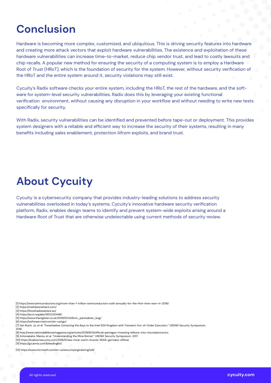### **Conclusion**

Hardware is becoming more complex, customized, and ubiquitous. This is driving security features into hardware and creating more attack vectors that exploit hardware vulnerabilities. The existence and exploitation of these hardware vulnerabilities can increase time-to-market, reduce chip vendor trust, and lead to costly lawsuits and chip recalls. A popular new method for ensuring the security of a computing system is to employ a Hardware Root of Trust (HRoT), which is the foundation of security for the system. However, without security verification of the HRoT and the entire system around it, security violations may still exist.

Cycuity's Radix software checks your entire system, including the HRoT, the rest of the hardware, and the software for system-level security vulnerabilities. Radix does this by leveraging your existing functional verification environment, without causing any disruption in your workflow and without needing to write new tests specifically for security.

With Radix, security vulnerabilities can be identified and prevented before tape-out or deployment. This provides system designers with a reliable and efficient way to increase the security of their systems, resulting in many benefits including sales enablement, protection iiifrom exploits, and brand trust.

### **About Cycuity**

Cycuity is a cybersecurity company that provides industry-leading solutions to address security vulnerabilities overlooked in today's systems. Cycuity's innovative hardware security verification platform, Radix, enables design teams to identify and prevent system-wide exploits arising around a Hardware Root of Trust that are otherwise undetectable using current methods of security review.

[1] https://www.semiconductors.org/more-than-1-trillion-semiconductors-sold-annually-for-the-first-time-ever-in-2018/

[2] https://meltdownattack.com/

[3] https://foreshadowattack.eu/

[4] https://arxiv.org/abs/1903.00446/ [5] https://www.theregister.co.uk/2019/01/24/bmc\_pantsdown\_bug/

[6] https://software.intel.com/en-us/sgx/

[7] Van Bulck, Jo, et al. "Foreshadow: Extracting the Keys to the Intel SGX Kingdom with Transient Out-of-Order Execution." USENIX Security Symposium.  $2018$ 

[8] http://www.nationaldefensemagazine.org/articles/2018/6/14/official-pentagon-investing-billions-into-microelectronics

[9] Antonakakis, Manos, et al. "Understanding the Mirai Botnet." USENIX Security Symposium. 2017. [10] https://krebsonsecurity.com/2016/11/new-mirai-worm-knocks-900k-germans-offline/

[11] https://go.armis.com/bleedingbit/

[12] https://www.microsoft.com/en-us/securityengineering/sdl/